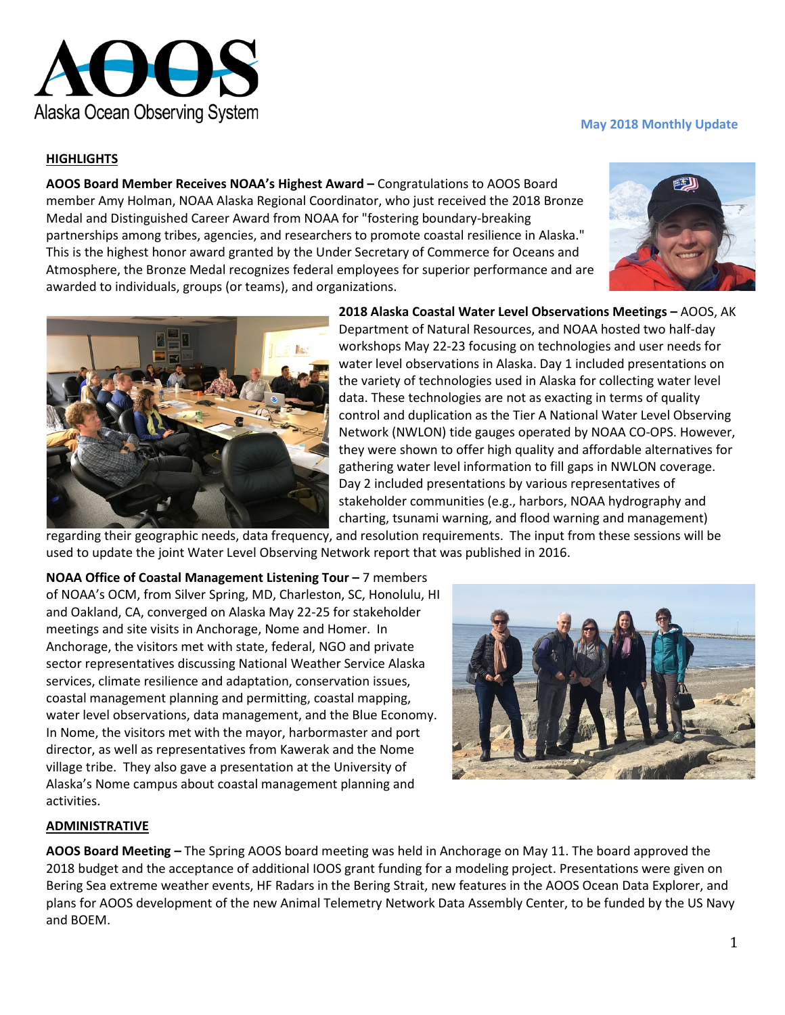

# **HIGHLIGHTS**

**AOOS Board Member Receives NOAA's Highest Award –** Congratulations to AOOS Board member Amy Holman, NOAA Alaska Regional Coordinator, who just received the 2018 Bronze Medal and Distinguished Career Award from NOAA for "fostering boundary-breaking partnerships among tribes, agencies, and researchers to promote coastal resilience in Alaska." This is the highest honor award granted by the Under Secretary of Commerce for Oceans and Atmosphere, the Bronze Medal recognizes federal employees for superior performance and are awarded to individuals, groups (or teams), and organizations.



**May 2018 Monthly Update**



**2018 Alaska Coastal Water Level Observations Meetings –** AOOS, AK Department of Natural Resources, and NOAA hosted two half-day workshops May 22-23 focusing on technologies and user needs for water level observations in Alaska. Day 1 included presentations on the variety of technologies used in Alaska for collecting water level data. These technologies are not as exacting in terms of quality control and duplication as the Tier A National Water Level Observing Network (NWLON) tide gauges operated by NOAA CO-OPS. However, they were shown to offer high quality and affordable alternatives for gathering water level information to fill gaps in NWLON coverage. Day 2 included presentations by various representatives of stakeholder communities (e.g., harbors, NOAA hydrography and charting, tsunami warning, and flood warning and management)

regarding their geographic needs, data frequency, and resolution requirements. The input from these sessions will be used to update the joint Water Level Observing Network report that was published in 2016.

**NOAA Office of Coastal Management Listening Tour –** 7 members of NOAA's OCM, from Silver Spring, MD, Charleston, SC, Honolulu, HI and Oakland, CA, converged on Alaska May 22-25 for stakeholder meetings and site visits in Anchorage, Nome and Homer. In Anchorage, the visitors met with state, federal, NGO and private sector representatives discussing National Weather Service Alaska services, climate resilience and adaptation, conservation issues, coastal management planning and permitting, coastal mapping, water level observations, data management, and the Blue Economy. In Nome, the visitors met with the mayor, harbormaster and port director, as well as representatives from Kawerak and the Nome village tribe. They also gave a presentation at the University of Alaska's Nome campus about coastal management planning and activities.



## **ADMINISTRATIVE**

**AOOS Board Meeting –** The Spring AOOS board meeting was held in Anchorage on May 11. The board approved the 2018 budget and the acceptance of additional IOOS grant funding for a modeling project. Presentations were given on Bering Sea extreme weather events, HF Radars in the Bering Strait, new features in the AOOS Ocean Data Explorer, and plans for AOOS development of the new Animal Telemetry Network Data Assembly Center, to be funded by the US Navy and BOEM.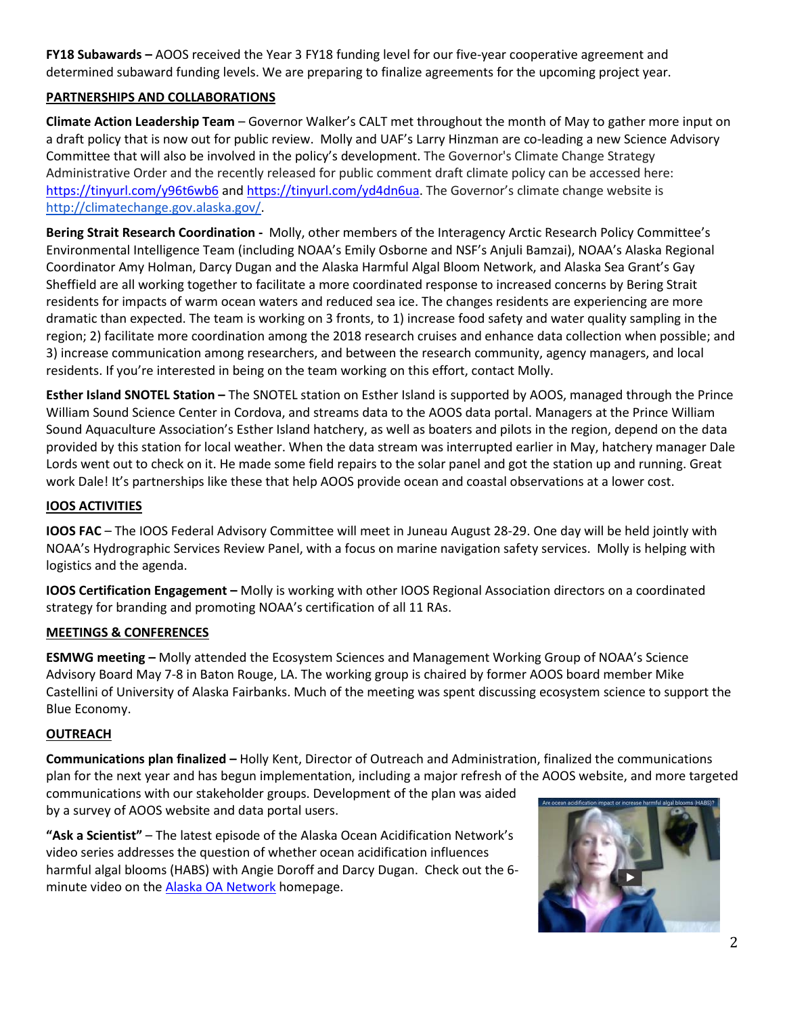**FY18 Subawards –** AOOS received the Year 3 FY18 funding level for our five-year cooperative agreement and determined subaward funding levels. We are preparing to finalize agreements for the upcoming project year.

## **PARTNERSHIPS AND COLLABORATIONS**

**Climate Action Leadership Team** – Governor Walker's CALT met throughout the month of May to gather more input on a draft policy that is now out for public review. Molly and UAF's Larry Hinzman are co-leading a new Science Advisory Committee that will also be involved in the policy's development. The Governor's Climate Change Strategy Administrative Order and the recently released for public comment draft climate policy can be accessed here: <https://tinyurl.com/y96t6wb6> and [https://tinyurl.com/yd4dn6ua.](https://tinyurl.com/yd4dn6ua) The Governor's climate change website is [http://climatechange.gov.alaska.gov/.](http://climatechange.gov.alaska.gov/)

**Bering Strait Research Coordination -** Molly, other members of the Interagency Arctic Research Policy Committee's Environmental Intelligence Team (including NOAA's Emily Osborne and NSF's Anjuli Bamzai), NOAA's Alaska Regional Coordinator Amy Holman, Darcy Dugan and the Alaska Harmful Algal Bloom Network, and Alaska Sea Grant's Gay Sheffield are all working together to facilitate a more coordinated response to increased concerns by Bering Strait residents for impacts of warm ocean waters and reduced sea ice. The changes residents are experiencing are more dramatic than expected. The team is working on 3 fronts, to 1) increase food safety and water quality sampling in the region; 2) facilitate more coordination among the 2018 research cruises and enhance data collection when possible; and 3) increase communication among researchers, and between the research community, agency managers, and local residents. If you're interested in being on the team working on this effort, contact Molly.

**Esther Island SNOTEL Station –** The SNOTEL station on Esther Island is supported by AOOS, managed through the Prince William Sound Science Center in Cordova, and streams data to the AOOS data portal. Managers at the Prince William Sound Aquaculture Association's Esther Island hatchery, as well as boaters and pilots in the region, depend on the data provided by this station for local weather. When the data stream was interrupted earlier in May, hatchery manager Dale Lords went out to check on it. He made some field repairs to the solar panel and got the station up and running. Great work Dale! It's partnerships like these that help AOOS provide ocean and coastal observations at a lower cost.

### **IOOS ACTIVITIES**

**IOOS FAC** – The IOOS Federal Advisory Committee will meet in Juneau August 28-29. One day will be held jointly with NOAA's Hydrographic Services Review Panel, with a focus on marine navigation safety services. Molly is helping with logistics and the agenda.

**IOOS Certification Engagement –** Molly is working with other IOOS Regional Association directors on a coordinated strategy for branding and promoting NOAA's certification of all 11 RAs.

### **MEETINGS & CONFERENCES**

**ESMWG meeting –** Molly attended the Ecosystem Sciences and Management Working Group of NOAA's Science Advisory Board May 7-8 in Baton Rouge, LA. The working group is chaired by former AOOS board member Mike Castellini of University of Alaska Fairbanks. Much of the meeting was spent discussing ecosystem science to support the Blue Economy.

### **OUTREACH**

**Communications plan finalized –** Holly Kent, Director of Outreach and Administration, finalized the communications plan for the next year and has begun implementation, including a major refresh of the AOOS website, and more targeted

communications with our stakeholder groups. Development of the plan was aided by a survey of AOOS website and data portal users.

**"Ask a Scientist"** – The latest episode of the Alaska Ocean Acidification Network's video series addresses the question of whether ocean acidification influences harmful algal blooms (HABS) with Angie Doroff and Darcy Dugan. Check out the 6- minute video on the [Alaska OA Network](http://www.aoos.org/alaska-ocean-acidification-network/) homepage.